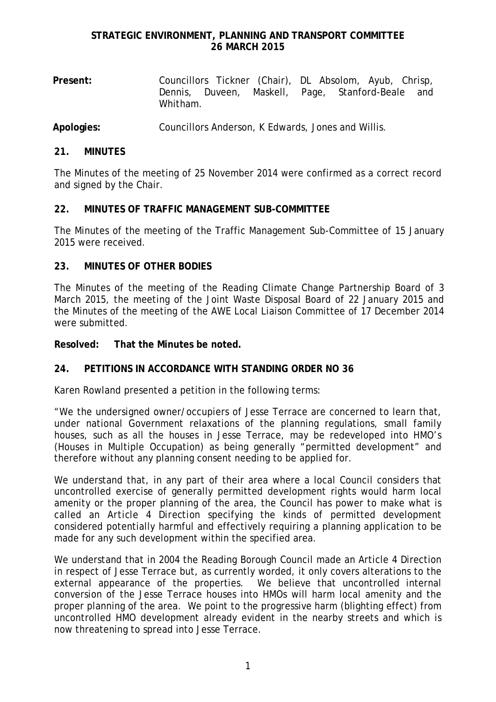**Present:** Councillors Tickner (Chair), DL Absolom, Ayub, Chrisp, Dennis, Duveen, Maskell, Page, Stanford-Beale and Whitham.

**Apologies:** Councillors Anderson, K Edwards, Jones and Willis.

## **21. MINUTES**

The Minutes of the meeting of 25 November 2014 were confirmed as a correct record and signed by the Chair.

## **22. MINUTES OF TRAFFIC MANAGEMENT SUB-COMMITTEE**

The Minutes of the meeting of the Traffic Management Sub-Committee of 15 January 2015 were received.

## **23. MINUTES OF OTHER BODIES**

The Minutes of the meeting of the Reading Climate Change Partnership Board of 3 March 2015, the meeting of the Joint Waste Disposal Board of 22 January 2015 and the Minutes of the meeting of the AWE Local Liaison Committee of 17 December 2014 were submitted.

**Resolved: That the Minutes be noted.**

# **24. PETITIONS IN ACCORDANCE WITH STANDING ORDER NO 36**

Karen Rowland presented a petition in the following terms:

"We the undersigned owner/occupiers of Jesse Terrace are concerned to learn that, under national Government relaxations of the planning regulations, small family houses, such as all the houses in Jesse Terrace, may be redeveloped into HMO's (Houses in Multiple Occupation) as being generally "permitted development" and therefore without any planning consent needing to be applied for.

We understand that, in any part of their area where a local Council considers that uncontrolled exercise of generally permitted development rights would harm local amenity or the proper planning of the area, the Council has power to make what is called an *Article 4 Direction* specifying the kinds of permitted development considered potentially harmful and effectively requiring a planning application to be made for any such development within the specified area.

We understand that in 2004 the Reading Borough Council made an Article 4 Direction in respect of Jesse Terrace but, as currently worded, it only covers alterations to the external appearance of the properties. We believe that uncontrolled internal conversion of the Jesse Terrace houses into HMOs will harm local amenity and the proper planning of the area. We point to the progressive harm (blighting effect) from uncontrolled HMO development already evident in the nearby streets and which is now threatening to spread into Jesse Terrace.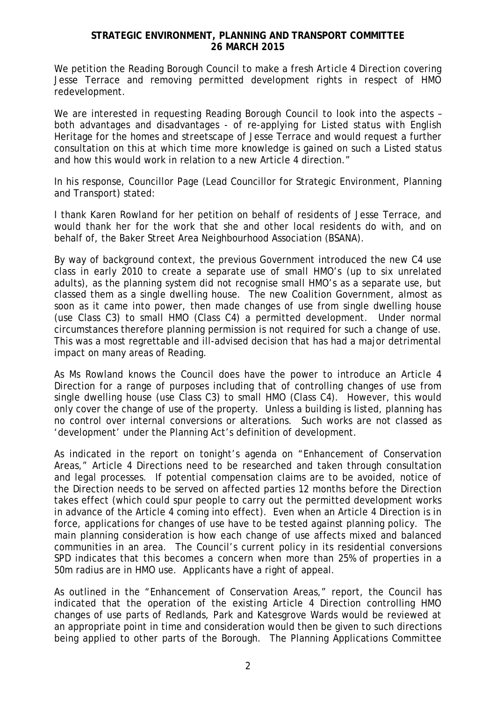We petition the Reading Borough Council to make a fresh *Article 4 Direction* covering Jesse Terrace and removing permitted development rights in respect of HMO redevelopment.

We are interested in requesting Reading Borough Council to look into the aspects – both advantages and disadvantages - of re-applying for Listed status with English Heritage for the homes and streetscape of Jesse Terrace and would request a further consultation on this at which time more knowledge is gained on such a Listed status and how this would work in relation to a new Article 4 direction."

In his response, Councillor Page (Lead Councillor for Strategic Environment, Planning and Transport) stated:

I thank Karen Rowland for her petition on behalf of residents of Jesse Terrace, and would thank her for the work that she and other local residents do with, and on behalf of, the Baker Street Area Neighbourhood Association (BSANA).

By way of background context, the previous Government introduced the new C4 use class in early 2010 to create a separate use of small HMO's (up to six unrelated adults), as the planning system did not recognise small HMO's as a separate use, but classed them as a single dwelling house. The new Coalition Government, almost as soon as it came into power, then made changes of use from single dwelling house (use Class C3) to small HMO (Class C4) a permitted development. Under normal circumstances therefore planning permission is not required for such a change of use. This was a most regrettable and ill-advised decision that has had a major detrimental impact on many areas of Reading.

As Ms Rowland knows the Council does have the power to introduce an Article 4 Direction for a range of purposes including that of controlling changes of use from single dwelling house (use Class C3) to small HMO (Class C4). However, this would only cover the change of use of the property. Unless a building is listed, planning has no control over internal conversions or alterations. Such works are not classed as 'development' under the Planning Act's definition of development.

As indicated in the report on tonight's agenda on "Enhancement of Conservation Areas," Article 4 Directions need to be researched and taken through consultation and legal processes. If potential compensation claims are to be avoided, notice of the Direction needs to be served on affected parties 12 months before the Direction takes effect (which could spur people to carry out the permitted development works in advance of the Article 4 coming into effect). Even when an Article 4 Direction is in force, applications for changes of use have to be tested against planning policy. The main planning consideration is how each change of use affects mixed and balanced communities in an area. The Council's current policy in its residential conversions SPD indicates that this becomes a concern when more than 25% of properties in a 50m radius are in HMO use. Applicants have a right of appeal.

As outlined in the "Enhancement of Conservation Areas," report, the Council has indicated that the operation of the existing Article 4 Direction controlling HMO changes of use parts of Redlands, Park and Katesgrove Wards would be reviewed at an appropriate point in time and consideration would then be given to such directions being applied to other parts of the Borough. The Planning Applications Committee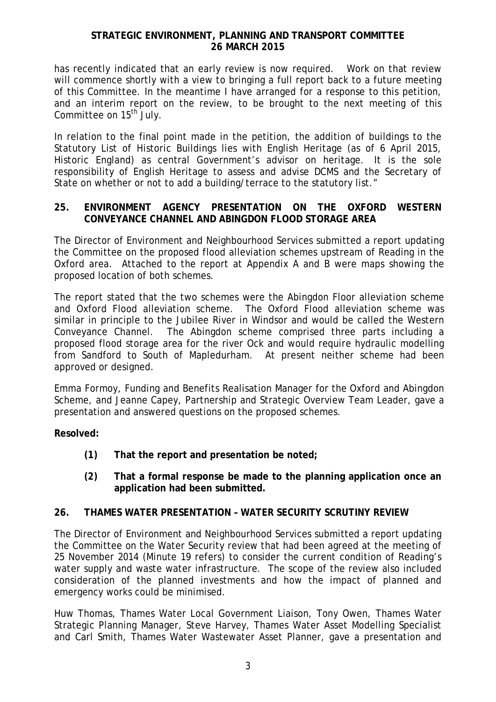has recently indicated that an early review is now required. Work on that review will commence shortly with a view to bringing a full report back to a future meeting of this Committee. In the meantime I have arranged for a response to this petition, and an interim report on the review, to be brought to the next meeting of this Committee on 15<sup>th</sup> July.

In relation to the final point made in the petition, the addition of buildings to the Statutory List of Historic Buildings lies with English Heritage (as of 6 April 2015, Historic England) as central Government's advisor on heritage. It is the sole responsibility of English Heritage to assess and advise DCMS and the Secretary of State on whether or not to add a building/terrace to the statutory list."

## **25. ENVIRONMENT AGENCY PRESENTATION ON THE OXFORD WESTERN CONVEYANCE CHANNEL AND ABINGDON FLOOD STORAGE AREA**

The Director of Environment and Neighbourhood Services submitted a report updating the Committee on the proposed flood alleviation schemes upstream of Reading in the Oxford area. Attached to the report at Appendix A and B were maps showing the proposed location of both schemes.

The report stated that the two schemes were the Abingdon Floor alleviation scheme and Oxford Flood alleviation scheme. The Oxford Flood alleviation scheme was similar in principle to the Jubilee River in Windsor and would be called the Western Conveyance Channel. The Abingdon scheme comprised three parts including a proposed flood storage area for the river Ock and would require hydraulic modelling from Sandford to South of Mapledurham. At present neither scheme had been approved or designed.

Emma Formoy, Funding and Benefits Realisation Manager for the Oxford and Abingdon Scheme, and Jeanne Capey, Partnership and Strategic Overview Team Leader, gave a presentation and answered questions on the proposed schemes.

**Resolved:**

- **(1) That the report and presentation be noted;**
- **(2) That a formal response be made to the planning application once an application had been submitted.**

# **26. THAMES WATER PRESENTATION – WATER SECURITY SCRUTINY REVIEW**

The Director of Environment and Neighbourhood Services submitted a report updating the Committee on the Water Security review that had been agreed at the meeting of 25 November 2014 (Minute 19 refers) to consider the current condition of Reading's water supply and waste water infrastructure. The scope of the review also included consideration of the planned investments and how the impact of planned and emergency works could be minimised.

Huw Thomas, Thames Water Local Government Liaison, Tony Owen, Thames Water Strategic Planning Manager, Steve Harvey, Thames Water Asset Modelling Specialist and Carl Smith, Thames Water Wastewater Asset Planner, gave a presentation and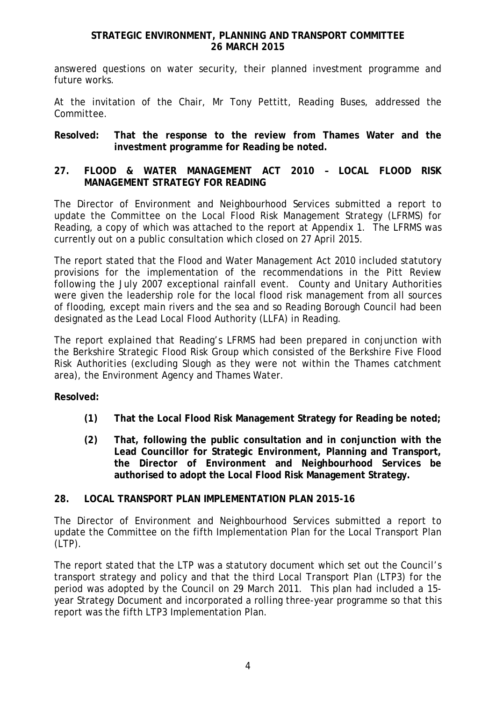answered questions on water security, their planned investment programme and future works.

At the invitation of the Chair, Mr Tony Pettitt, Reading Buses, addressed the Committee.

### **Resolved: That the response to the review from Thames Water and the investment programme for Reading be noted.**

## **27. FLOOD & WATER MANAGEMENT ACT 2010 – LOCAL FLOOD RISK MANAGEMENT STRATEGY FOR READING**

The Director of Environment and Neighbourhood Services submitted a report to update the Committee on the Local Flood Risk Management Strategy (LFRMS) for Reading, a copy of which was attached to the report at Appendix 1. The LFRMS was currently out on a public consultation which closed on 27 April 2015.

The report stated that the Flood and Water Management Act 2010 included statutory provisions for the implementation of the recommendations in the Pitt Review following the July 2007 exceptional rainfall event. County and Unitary Authorities were given the leadership role for the local flood risk management from all sources of flooding, except main rivers and the sea and so Reading Borough Council had been designated as the Lead Local Flood Authority (LLFA) in Reading.

The report explained that Reading's LFRMS had been prepared in conjunction with the Berkshire Strategic Flood Risk Group which consisted of the Berkshire Five Flood Risk Authorities (excluding Slough as they were not within the Thames catchment area), the Environment Agency and Thames Water.

**Resolved:**

- **(1) That the Local Flood Risk Management Strategy for Reading be noted;**
- **(2) That, following the public consultation and in conjunction with the Lead Councillor for Strategic Environment, Planning and Transport, the Director of Environment and Neighbourhood Services be authorised to adopt the Local Flood Risk Management Strategy.**

#### **28. LOCAL TRANSPORT PLAN IMPLEMENTATION PLAN 2015-16**

The Director of Environment and Neighbourhood Services submitted a report to update the Committee on the fifth Implementation Plan for the Local Transport Plan (LTP).

The report stated that the LTP was a statutory document which set out the Council's transport strategy and policy and that the third Local Transport Plan (LTP3) for the period was adopted by the Council on 29 March 2011. This plan had included a 15 year Strategy Document and incorporated a rolling three-year programme so that this report was the fifth LTP3 Implementation Plan.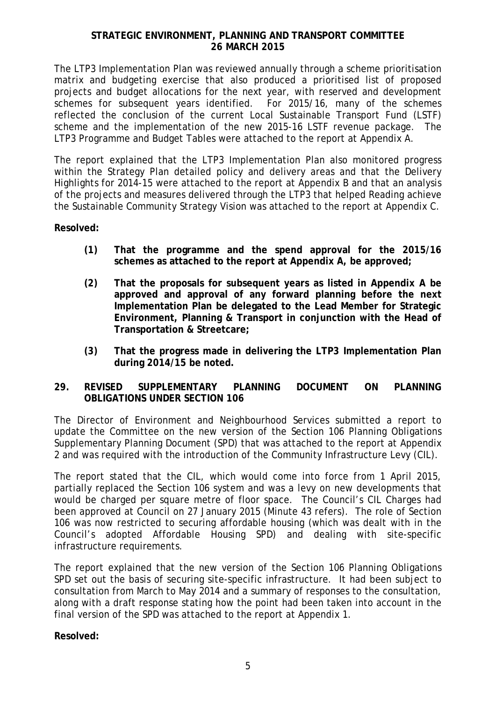The LTP3 Implementation Plan was reviewed annually through a scheme prioritisation matrix and budgeting exercise that also produced a prioritised list of proposed projects and budget allocations for the next year, with reserved and development schemes for subsequent years identified. For 2015/16, many of the schemes reflected the conclusion of the current Local Sustainable Transport Fund (LSTF) scheme and the implementation of the new 2015-16 LSTF revenue package. The LTP3 Programme and Budget Tables were attached to the report at Appendix A.

The report explained that the LTP3 Implementation Plan also monitored progress within the Strategy Plan detailed policy and delivery areas and that the Delivery Highlights for 2014-15 were attached to the report at Appendix B and that an analysis of the projects and measures delivered through the LTP3 that helped Reading achieve the Sustainable Community Strategy Vision was attached to the report at Appendix C.

**Resolved:**

- **(1) That the programme and the spend approval for the 2015/16 schemes as attached to the report at Appendix A, be approved;**
- **(2) That the proposals for subsequent years as listed in Appendix A be approved and approval of any forward planning before the next Implementation Plan be delegated to the Lead Member for Strategic Environment, Planning & Transport in conjunction with the Head of Transportation & Streetcare;**
- **(3) That the progress made in delivering the LTP3 Implementation Plan during 2014/15 be noted.**

# **29. REVISED SUPPLEMENTARY PLANNING DOCUMENT ON PLANNING OBLIGATIONS UNDER SECTION 106**

The Director of Environment and Neighbourhood Services submitted a report to update the Committee on the new version of the Section 106 Planning Obligations Supplementary Planning Document (SPD) that was attached to the report at Appendix 2 and was required with the introduction of the Community Infrastructure Levy (CIL).

The report stated that the CIL, which would come into force from 1 April 2015, partially replaced the Section 106 system and was a levy on new developments that would be charged per square metre of floor space. The Council's CIL Charges had been approved at Council on 27 January 2015 (Minute 43 refers). The role of Section 106 was now restricted to securing affordable housing (which was dealt with in the Council's adopted Affordable Housing SPD) and dealing with site-specific infrastructure requirements.

The report explained that the new version of the Section 106 Planning Obligations SPD set out the basis of securing site-specific infrastructure. It had been subject to consultation from March to May 2014 and a summary of responses to the consultation, along with a draft response stating how the point had been taken into account in the final version of the SPD was attached to the report at Appendix 1.

**Resolved:**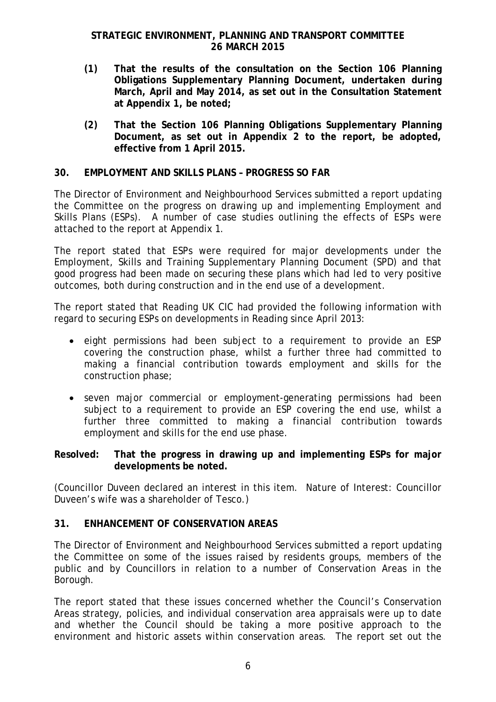- **(1) That the results of the consultation on the Section 106 Planning Obligations Supplementary Planning Document, undertaken during March, April and May 2014, as set out in the Consultation Statement at Appendix 1, be noted;**
- **(2) That the Section 106 Planning Obligations Supplementary Planning Document, as set out in Appendix 2 to the report, be adopted, effective from 1 April 2015.**

### **30. EMPLOYMENT AND SKILLS PLANS – PROGRESS SO FAR**

The Director of Environment and Neighbourhood Services submitted a report updating the Committee on the progress on drawing up and implementing Employment and Skills Plans (ESPs). A number of case studies outlining the effects of ESPs were attached to the report at Appendix 1.

The report stated that ESPs were required for major developments under the Employment, Skills and Training Supplementary Planning Document (SPD) and that good progress had been made on securing these plans which had led to very positive outcomes, both during construction and in the end use of a development.

The report stated that Reading UK CIC had provided the following information with regard to securing ESPs on developments in Reading since April 2013:

- eight permissions had been subject to a requirement to provide an ESP covering the construction phase, whilst a further three had committed to making a financial contribution towards employment and skills for the construction phase;
- seven major commercial or employment-generating permissions had been subject to a requirement to provide an ESP covering the end use, whilst a further three committed to making a financial contribution towards employment and skills for the end use phase.

#### **Resolved: That the progress in drawing up and implementing ESPs for major developments be noted.**

(Councillor Duveen declared an interest in this item. Nature of Interest: Councillor Duveen's wife was a shareholder of Tesco.)

#### **31. ENHANCEMENT OF CONSERVATION AREAS**

The Director of Environment and Neighbourhood Services submitted a report updating the Committee on some of the issues raised by residents groups, members of the public and by Councillors in relation to a number of Conservation Areas in the Borough.

The report stated that these issues concerned whether the Council's Conservation Areas strategy, policies, and individual conservation area appraisals were up to date and whether the Council should be taking a more positive approach to the environment and historic assets within conservation areas. The report set out the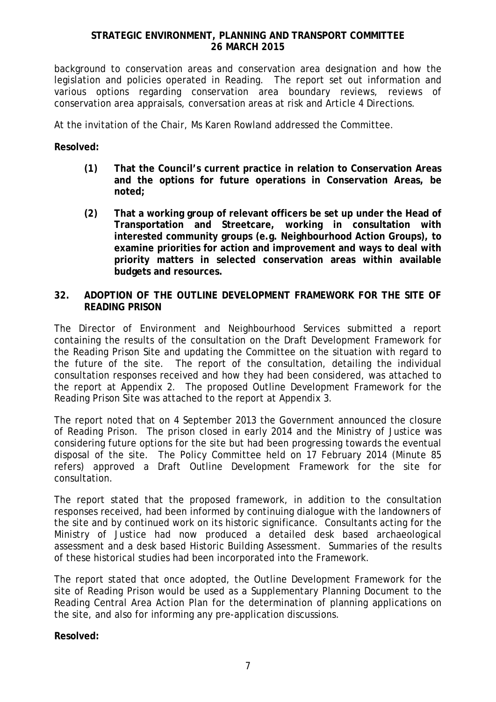background to conservation areas and conservation area designation and how the legislation and policies operated in Reading. The report set out information and various options regarding conservation area boundary reviews, reviews of conservation area appraisals, conversation areas at risk and Article 4 Directions.

At the invitation of the Chair, Ms Karen Rowland addressed the Committee.

## **Resolved:**

- **(1) That the Council's current practice in relation to Conservation Areas and the options for future operations in Conservation Areas, be noted;**
- **(2) That a working group of relevant officers be set up under the Head of Transportation and Streetcare, working in consultation with interested community groups (e.g. Neighbourhood Action Groups), to examine priorities for action and improvement and ways to deal with priority matters in selected conservation areas within available budgets and resources.**

### **32. ADOPTION OF THE OUTLINE DEVELOPMENT FRAMEWORK FOR THE SITE OF READING PRISON**

The Director of Environment and Neighbourhood Services submitted a report containing the results of the consultation on the Draft Development Framework for the Reading Prison Site and updating the Committee on the situation with regard to the future of the site. The report of the consultation, detailing the individual consultation responses received and how they had been considered, was attached to the report at Appendix 2. The proposed Outline Development Framework for the Reading Prison Site was attached to the report at Appendix 3.

The report noted that on 4 September 2013 the Government announced the closure of Reading Prison. The prison closed in early 2014 and the Ministry of Justice was considering future options for the site but had been progressing towards the eventual disposal of the site. The Policy Committee held on 17 February 2014 (Minute 85 refers) approved a Draft Outline Development Framework for the site for consultation.

The report stated that the proposed framework, in addition to the consultation responses received, had been informed by continuing dialogue with the landowners of the site and by continued work on its historic significance. Consultants acting for the Ministry of Justice had now produced a detailed desk based archaeological assessment and a desk based Historic Building Assessment. Summaries of the results of these historical studies had been incorporated into the Framework.

The report stated that once adopted, the Outline Development Framework for the site of Reading Prison would be used as a Supplementary Planning Document to the Reading Central Area Action Plan for the determination of planning applications on the site, and also for informing any pre-application discussions.

**Resolved:**